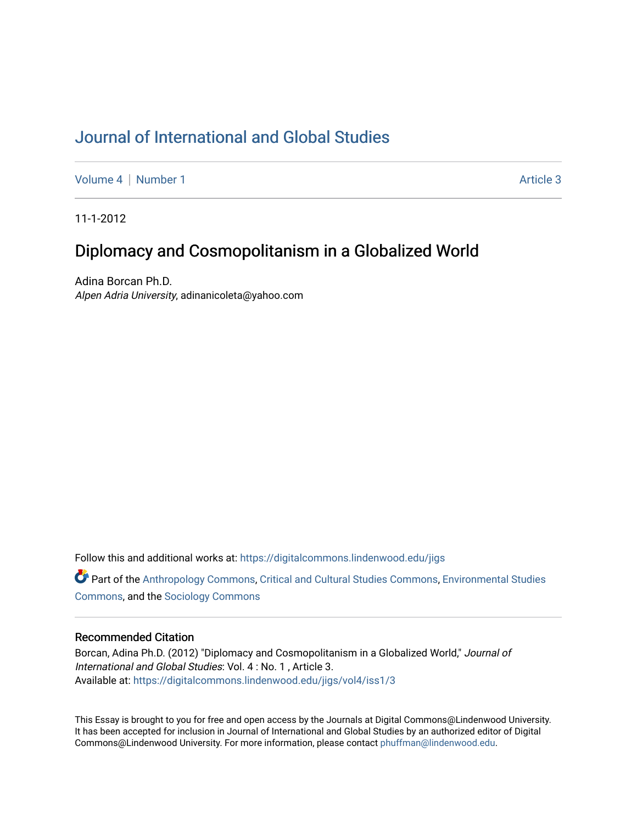# [Journal of International and Global Studies](https://digitalcommons.lindenwood.edu/jigs)

[Volume 4](https://digitalcommons.lindenwood.edu/jigs/vol4) | [Number 1](https://digitalcommons.lindenwood.edu/jigs/vol4/iss1) Article 3

11-1-2012

# Diplomacy and Cosmopolitanism in a Globalized World

Adina Borcan Ph.D. Alpen Adria University, adinanicoleta@yahoo.com

Follow this and additional works at: [https://digitalcommons.lindenwood.edu/jigs](https://digitalcommons.lindenwood.edu/jigs?utm_source=digitalcommons.lindenwood.edu%2Fjigs%2Fvol4%2Fiss1%2F3&utm_medium=PDF&utm_campaign=PDFCoverPages) 

**P** Part of the [Anthropology Commons](http://network.bepress.com/hgg/discipline/318?utm_source=digitalcommons.lindenwood.edu%2Fjigs%2Fvol4%2Fiss1%2F3&utm_medium=PDF&utm_campaign=PDFCoverPages), [Critical and Cultural Studies Commons](http://network.bepress.com/hgg/discipline/328?utm_source=digitalcommons.lindenwood.edu%2Fjigs%2Fvol4%2Fiss1%2F3&utm_medium=PDF&utm_campaign=PDFCoverPages), Environmental Studies [Commons](http://network.bepress.com/hgg/discipline/1333?utm_source=digitalcommons.lindenwood.edu%2Fjigs%2Fvol4%2Fiss1%2F3&utm_medium=PDF&utm_campaign=PDFCoverPages), and the [Sociology Commons](http://network.bepress.com/hgg/discipline/416?utm_source=digitalcommons.lindenwood.edu%2Fjigs%2Fvol4%2Fiss1%2F3&utm_medium=PDF&utm_campaign=PDFCoverPages)

# Recommended Citation

Borcan, Adina Ph.D. (2012) "Diplomacy and Cosmopolitanism in a Globalized World," Journal of International and Global Studies: Vol. 4 : No. 1 , Article 3. Available at: [https://digitalcommons.lindenwood.edu/jigs/vol4/iss1/3](https://digitalcommons.lindenwood.edu/jigs/vol4/iss1/3?utm_source=digitalcommons.lindenwood.edu%2Fjigs%2Fvol4%2Fiss1%2F3&utm_medium=PDF&utm_campaign=PDFCoverPages)

This Essay is brought to you for free and open access by the Journals at Digital Commons@Lindenwood University. It has been accepted for inclusion in Journal of International and Global Studies by an authorized editor of Digital Commons@Lindenwood University. For more information, please contact [phuffman@lindenwood.edu](mailto:phuffman@lindenwood.edu).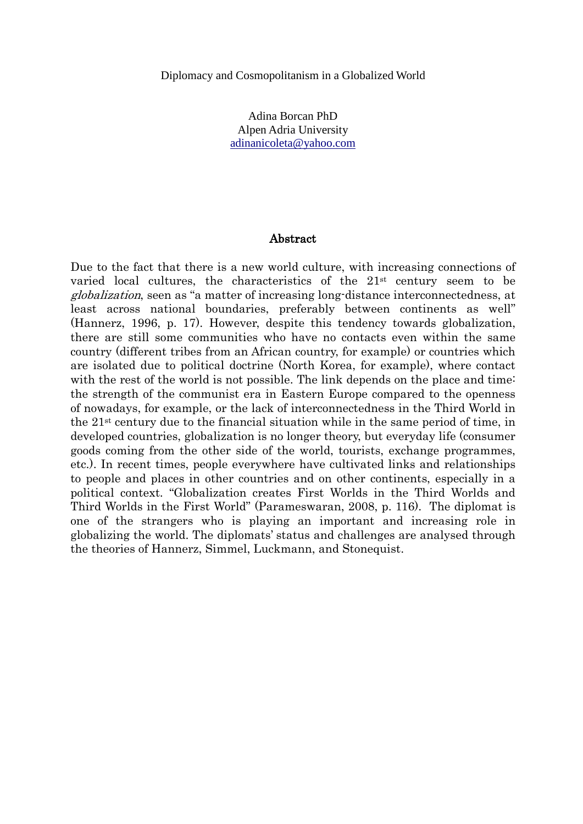Adina Borcan PhD Alpen Adria University [adinanicoleta@yahoo.com](mailto:adinanicoleta@yahoo.com)

# Abstract

Due to the fact that there is a new world culture, with increasing connections of varied local cultures, the characteristics of the 21st century seem to be globalization, seen as "a matter of increasing long-distance interconnectedness, at least across national boundaries, preferably between continents as well" (Hannerz, 1996, p. 17). However, despite this tendency towards globalization, there are still some communities who have no contacts even within the same country (different tribes from an African country, for example) or countries which are isolated due to political doctrine (North Korea, for example), where contact with the rest of the world is not possible. The link depends on the place and time: the strength of the communist era in Eastern Europe compared to the openness of nowadays, for example, or the lack of interconnectedness in the Third World in the 21st century due to the financial situation while in the same period of time, in developed countries, globalization is no longer theory, but everyday life (consumer goods coming from the other side of the world, tourists, exchange programmes, etc.). In recent times, people everywhere have cultivated links and relationships to people and places in other countries and on other continents, especially in a political context. "Globalization creates First Worlds in the Third Worlds and Third Worlds in the First World" (Parameswaran, 2008, p. 116). The diplomat is one of the strangers who is playing an important and increasing role in globalizing the world. The diplomats' status and challenges are analysed through the theories of Hannerz, Simmel, Luckmann, and Stonequist.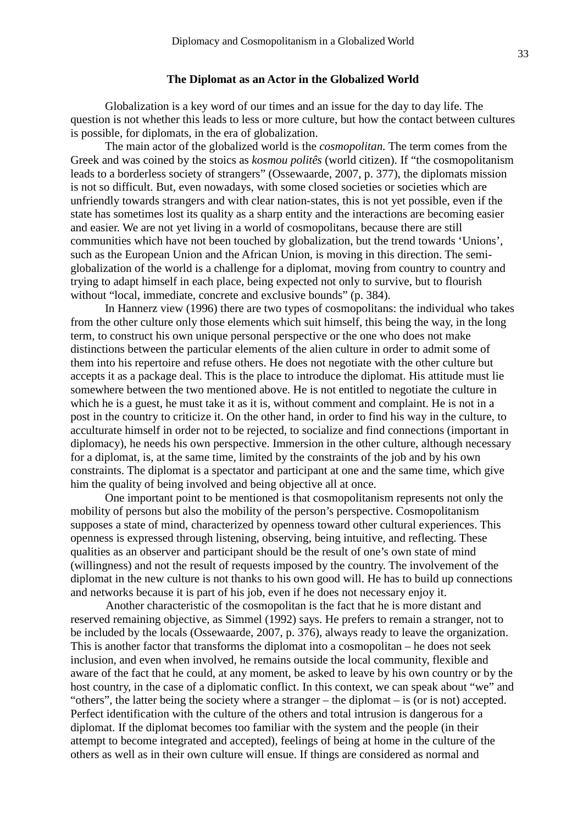#### **The Diplomat as an Actor in the Globalized World**

Globalization is a key word of our times and an issue for the day to day life. The question is not whether this leads to less or more culture, but how the contact between cultures is possible, for diplomats, in the era of globalization.

The main actor of the globalized world is the *cosmopolitan.* The term comes from the Greek and was coined by the stoics as *kosmou politês* (world citizen). If "the cosmopolitanism leads to a borderless society of strangers" (Ossewaarde, 2007, p. 377), the diplomats mission is not so difficult. But, even nowadays, with some closed societies or societies which are unfriendly towards strangers and with clear nation-states, this is not yet possible, even if the state has sometimes lost its quality as a sharp entity and the interactions are becoming easier and easier. We are not yet living in a world of cosmopolitans, because there are still communities which have not been touched by globalization, but the trend towards 'Unions', such as the European Union and the African Union, is moving in this direction. The semiglobalization of the world is a challenge for a diplomat, moving from country to country and trying to adapt himself in each place, being expected not only to survive, but to flourish without "local, immediate, concrete and exclusive bounds" (p. 384).

In Hannerz view (1996) there are two types of cosmopolitans: the individual who takes from the other culture only those elements which suit himself, this being the way, in the long term, to construct his own unique personal perspective or the one who does not make distinctions between the particular elements of the alien culture in order to admit some of them into his repertoire and refuse others. He does not negotiate with the other culture but accepts it as a package deal. This is the place to introduce the diplomat. His attitude must lie somewhere between the two mentioned above. He is not entitled to negotiate the culture in which he is a guest, he must take it as it is, without comment and complaint. He is not in a post in the country to criticize it. On the other hand, in order to find his way in the culture, to acculturate himself in order not to be rejected, to socialize and find connections (important in diplomacy), he needs his own perspective. Immersion in the other culture, although necessary for a diplomat, is, at the same time, limited by the constraints of the job and by his own constraints. The diplomat is a spectator and participant at one and the same time, which give him the quality of being involved and being objective all at once.

One important point to be mentioned is that cosmopolitanism represents not only the mobility of persons but also the mobility of the person's perspective. Cosmopolitanism supposes a state of mind, characterized by openness toward other cultural experiences. This openness is expressed through listening, observing, being intuitive, and reflecting. These qualities as an observer and participant should be the result of one's own state of mind (willingness) and not the result of requests imposed by the country. The involvement of the diplomat in the new culture is not thanks to his own good will. He has to build up connections and networks because it is part of his job, even if he does not necessary enjoy it.

Another characteristic of the cosmopolitan is the fact that he is more distant and reserved remaining objective, as Simmel (1992) says. He prefers to remain a stranger, not to be included by the locals (Ossewaarde, 2007, p. 376), always ready to leave the organization. This is another factor that transforms the diplomat into a cosmopolitan – he does not seek inclusion, and even when involved, he remains outside the local community, flexible and aware of the fact that he could, at any moment, be asked to leave by his own country or by the host country, in the case of a diplomatic conflict. In this context, we can speak about "we" and "others", the latter being the society where a stranger – the diplomat – is (or is not) accepted. Perfect identification with the culture of the others and total intrusion is dangerous for a diplomat. If the diplomat becomes too familiar with the system and the people (in their attempt to become integrated and accepted), feelings of being at home in the culture of the others as well as in their own culture will ensue. If things are considered as normal and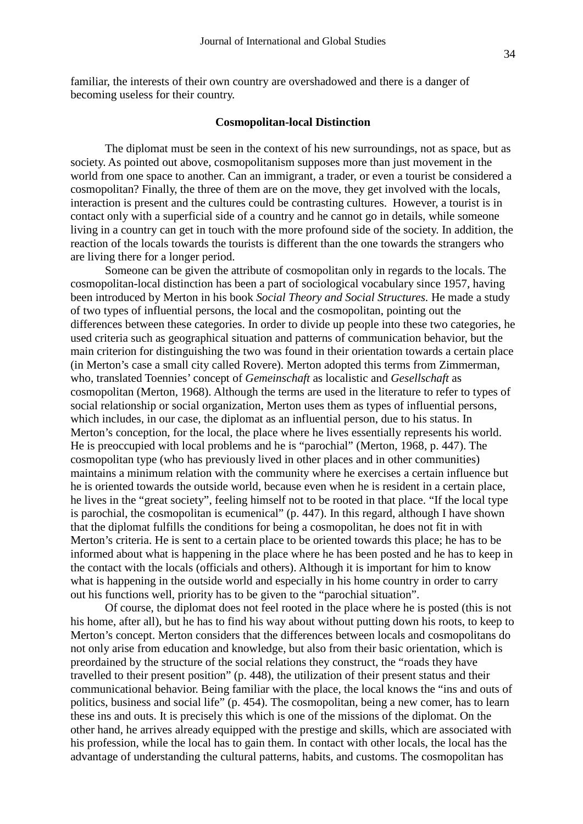familiar, the interests of their own country are overshadowed and there is a danger of becoming useless for their country.

#### **Cosmopolitan-local Distinction**

The diplomat must be seen in the context of his new surroundings, not as space, but as society. As pointed out above, cosmopolitanism supposes more than just movement in the world from one space to another. Can an immigrant, a trader, or even a tourist be considered a cosmopolitan? Finally, the three of them are on the move, they get involved with the locals, interaction is present and the cultures could be contrasting cultures. However, a tourist is in contact only with a superficial side of a country and he cannot go in details, while someone living in a country can get in touch with the more profound side of the society. In addition, the reaction of the locals towards the tourists is different than the one towards the strangers who are living there for a longer period.

 Someone can be given the attribute of cosmopolitan only in regards to the locals. The cosmopolitan-local distinction has been a part of sociological vocabulary since 1957, having been introduced by Merton in his book *Social Theory and Social Structures.* He made a study of two types of influential persons, the local and the cosmopolitan, pointing out the differences between these categories. In order to divide up people into these two categories, he used criteria such as geographical situation and patterns of communication behavior, but the main criterion for distinguishing the two was found in their orientation towards a certain place (in Merton's case a small city called Rovere). Merton adopted this terms from Zimmerman, who, translated Toennies' concept of *Gemeinschaft* as localistic and *Gesellschaft* as cosmopolitan (Merton, 1968). Although the terms are used in the literature to refer to types of social relationship or social organization, Merton uses them as types of influential persons, which includes, in our case, the diplomat as an influential person, due to his status. In Merton's conception, for the local, the place where he lives essentially represents his world. He is preoccupied with local problems and he is "parochial" (Merton, 1968, p. 447). The cosmopolitan type (who has previously lived in other places and in other communities) maintains a minimum relation with the community where he exercises a certain influence but he is oriented towards the outside world, because even when he is resident in a certain place, he lives in the "great society", feeling himself not to be rooted in that place. "If the local type is parochial, the cosmopolitan is ecumenical" (p. 447). In this regard, although I have shown that the diplomat fulfills the conditions for being a cosmopolitan, he does not fit in with Merton's criteria. He is sent to a certain place to be oriented towards this place; he has to be informed about what is happening in the place where he has been posted and he has to keep in the contact with the locals (officials and others). Although it is important for him to know what is happening in the outside world and especially in his home country in order to carry out his functions well, priority has to be given to the "parochial situation".

Of course, the diplomat does not feel rooted in the place where he is posted (this is not his home, after all), but he has to find his way about without putting down his roots, to keep to Merton's concept. Merton considers that the differences between locals and cosmopolitans do not only arise from education and knowledge, but also from their basic orientation, which is preordained by the structure of the social relations they construct, the "roads they have travelled to their present position" (p. 448), the utilization of their present status and their communicational behavior. Being familiar with the place, the local knows the "ins and outs of politics, business and social life" (p. 454). The cosmopolitan, being a new comer, has to learn these ins and outs. It is precisely this which is one of the missions of the diplomat. On the other hand, he arrives already equipped with the prestige and skills, which are associated with his profession, while the local has to gain them. In contact with other locals, the local has the advantage of understanding the cultural patterns, habits, and customs. The cosmopolitan has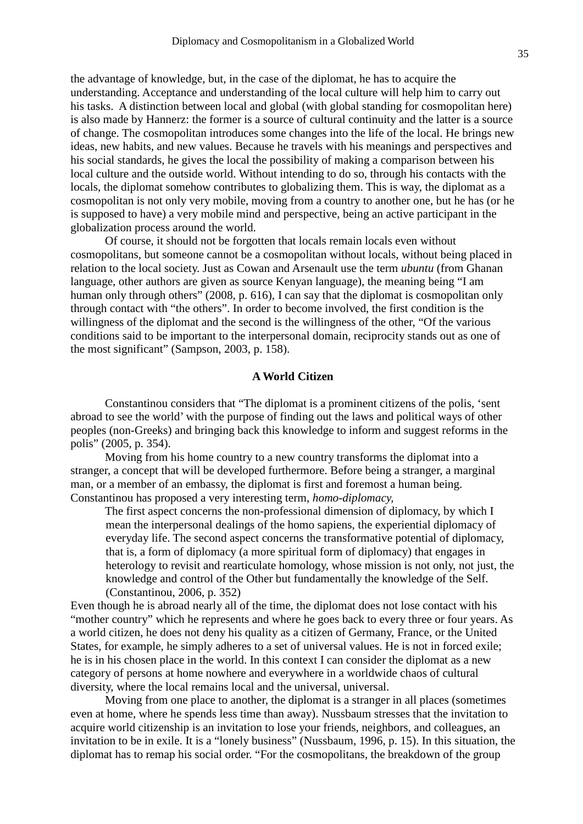the advantage of knowledge, but, in the case of the diplomat, he has to acquire the understanding. Acceptance and understanding of the local culture will help him to carry out his tasks. A distinction between local and global (with global standing for cosmopolitan here) is also made by Hannerz: the former is a source of cultural continuity and the latter is a source of change. The cosmopolitan introduces some changes into the life of the local. He brings new ideas, new habits, and new values. Because he travels with his meanings and perspectives and his social standards, he gives the local the possibility of making a comparison between his local culture and the outside world. Without intending to do so, through his contacts with the locals, the diplomat somehow contributes to globalizing them. This is way, the diplomat as a cosmopolitan is not only very mobile, moving from a country to another one, but he has (or he is supposed to have) a very mobile mind and perspective, being an active participant in the globalization process around the world.

Of course, it should not be forgotten that locals remain locals even without cosmopolitans, but someone cannot be a cosmopolitan without locals, without being placed in relation to the local society. Just as Cowan and Arsenault use the term *ubuntu* (from Ghanan language, other authors are given as source Kenyan language), the meaning being "I am human only through others" (2008, p. 616), I can say that the diplomat is cosmopolitan only through contact with "the others". In order to become involved, the first condition is the willingness of the diplomat and the second is the willingness of the other, "Of the various conditions said to be important to the interpersonal domain, reciprocity stands out as one of the most significant" (Sampson, 2003, p. 158).

### **A World Citizen**

Constantinou considers that "The diplomat is a prominent citizens of the polis, 'sent abroad to see the world' with the purpose of finding out the laws and political ways of other peoples (non-Greeks) and bringing back this knowledge to inform and suggest reforms in the polis" (2005, p. 354).

Moving from his home country to a new country transforms the diplomat into a stranger, a concept that will be developed furthermore. Before being a stranger, a marginal man, or a member of an embassy, the diplomat is first and foremost a human being. Constantinou has proposed a very interesting term, *homo-diplomacy,* 

The first aspect concerns the non-professional dimension of diplomacy, by which I mean the interpersonal dealings of the homo sapiens, the experiential diplomacy of everyday life. The second aspect concerns the transformative potential of diplomacy, that is, a form of diplomacy (a more spiritual form of diplomacy) that engages in heterology to revisit and rearticulate homology, whose mission is not only, not just, the knowledge and control of the Other but fundamentally the knowledge of the Self. (Constantinou, 2006, p. 352)

Even though he is abroad nearly all of the time, the diplomat does not lose contact with his "mother country" which he represents and where he goes back to every three or four years. As a world citizen, he does not deny his quality as a citizen of Germany, France, or the United States, for example, he simply adheres to a set of universal values. He is not in forced exile; he is in his chosen place in the world. In this context I can consider the diplomat as a new category of persons at home nowhere and everywhere in a worldwide chaos of cultural diversity, where the local remains local and the universal, universal.

Moving from one place to another, the diplomat is a stranger in all places (sometimes even at home, where he spends less time than away). Nussbaum stresses that the invitation to acquire world citizenship is an invitation to lose your friends, neighbors, and colleagues, an invitation to be in exile. It is a "lonely business" (Nussbaum, 1996, p. 15). In this situation, the diplomat has to remap his social order. "For the cosmopolitans, the breakdown of the group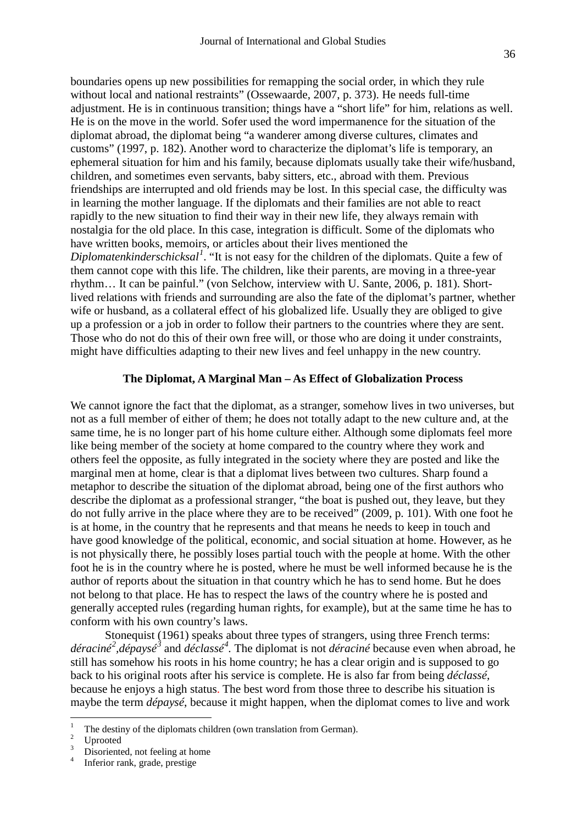boundaries opens up new possibilities for remapping the social order, in which they rule without local and national restraints" (Ossewaarde, 2007, p. 373). He needs full-time adjustment. He is in continuous transition; things have a "short life" for him, relations as well. He is on the move in the world. Sofer used the word impermanence for the situation of the diplomat abroad, the diplomat being "a wanderer among diverse cultures, climates and customs" (1997, p. 182). Another word to characterize the diplomat's life is temporary, an ephemeral situation for him and his family, because diplomats usually take their wife/husband, children, and sometimes even servants, baby sitters, etc., abroad with them. Previous friendships are interrupted and old friends may be lost. In this special case, the difficulty was in learning the mother language. If the diplomats and their families are not able to react rapidly to the new situation to find their way in their new life, they always remain with nostalgia for the old place. In this case, integration is difficult. Some of the diplomats who have written books, memoirs, or articles about their lives mentioned the *Diplomatenkinderschicksal[1](#page-5-0)* . "It is not easy for the children of the diplomats. Quite a few of them cannot cope with this life. The children, like their parents, are moving in a three-year rhythm… It can be painful." (von Selchow, interview with U. Sante, 2006, p. 181). Shortlived relations with friends and surrounding are also the fate of the diplomat's partner, whether wife or husband, as a collateral effect of his globalized life. Usually they are obliged to give up a profession or a job in order to follow their partners to the countries where they are sent. Those who do not do this of their own free will, or those who are doing it under constraints, might have difficulties adapting to their new lives and feel unhappy in the new country.

# **The Diplomat, A Marginal Man – As Effect of Globalization Process**

We cannot ignore the fact that the diplomat, as a stranger, somehow lives in two universes, but not as a full member of either of them; he does not totally adapt to the new culture and, at the same time, he is no longer part of his home culture either. Although some diplomats feel more like being member of the society at home compared to the country where they work and others feel the opposite, as fully integrated in the society where they are posted and like the marginal men at home, clear is that a diplomat lives between two cultures. Sharp found a metaphor to describe the situation of the diplomat abroad, being one of the first authors who describe the diplomat as a professional stranger, "the boat is pushed out, they leave, but they do not fully arrive in the place where they are to be received" (2009, p. 101). With one foot he is at home, in the country that he represents and that means he needs to keep in touch and have good knowledge of the political, economic, and social situation at home. However, as he is not physically there, he possibly loses partial touch with the people at home. With the other foot he is in the country where he is posted, where he must be well informed because he is the author of reports about the situation in that country which he has to send home. But he does not belong to that place. He has to respect the laws of the country where he is posted and generally accepted rules (regarding human rights, for example), but at the same time he has to conform with his own country's laws.

 Stonequist (1961) speaks about three types of strangers, using three French terms: *déraciné[2](#page-5-1) ,dépaysé[3](#page-5-2)* and *déclassé[4](#page-5-3) .* The diplomat is not *déraciné* because even when abroad, he still has somehow his roots in his home country; he has a clear origin and is supposed to go back to his original roots after his service is complete. He is also far from being *déclassé,*  because he enjoys a high status. The best word from those three to describe his situation is maybe the term *dépaysé*, because it might happen, when the diplomat comes to live and work

<span id="page-5-0"></span> $\mathbf{1}$ <sup>1</sup> The destiny of the diplomats children (own translation from German).<br><sup>2</sup> Uprooted Disoriented, not feeling at home  $\frac{4}{1}$  Inferior rank, grade, prestige

<span id="page-5-1"></span>

<span id="page-5-2"></span>

<span id="page-5-3"></span>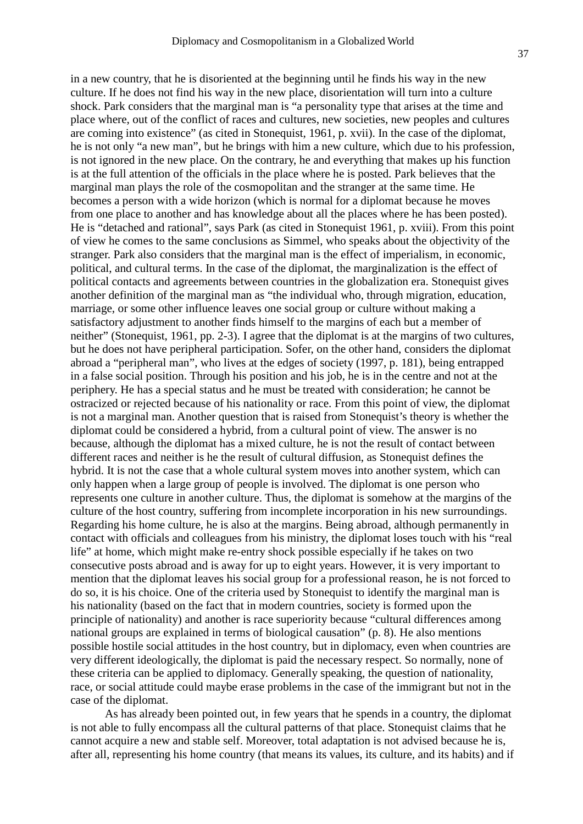37

culture. If he does not find his way in the new place, disorientation will turn into a culture shock. Park considers that the marginal man is "a personality type that arises at the time and place where, out of the conflict of races and cultures, new societies, new peoples and cultures are coming into existence" (as cited in Stonequist, 1961, p. xvii). In the case of the diplomat, he is not only "a new man", but he brings with him a new culture, which due to his profession, is not ignored in the new place. On the contrary, he and everything that makes up his function is at the full attention of the officials in the place where he is posted. Park believes that the marginal man plays the role of the cosmopolitan and the stranger at the same time. He becomes a person with a wide horizon (which is normal for a diplomat because he moves from one place to another and has knowledge about all the places where he has been posted). He is "detached and rational", says Park (as cited in Stonequist 1961, p. xviii). From this point of view he comes to the same conclusions as Simmel, who speaks about the objectivity of the stranger. Park also considers that the marginal man is the effect of imperialism, in economic, political, and cultural terms. In the case of the diplomat, the marginalization is the effect of political contacts and agreements between countries in the globalization era. Stonequist gives another definition of the marginal man as "the individual who, through migration, education, marriage, or some other influence leaves one social group or culture without making a satisfactory adjustment to another finds himself to the margins of each but a member of neither" (Stonequist, 1961, pp. 2-3). I agree that the diplomat is at the margins of two cultures, but he does not have peripheral participation. Sofer, on the other hand, considers the diplomat abroad a "peripheral man", who lives at the edges of society (1997, p. 181), being entrapped in a false social position. Through his position and his job, he is in the centre and not at the periphery. He has a special status and he must be treated with consideration; he cannot be ostracized or rejected because of his nationality or race. From this point of view, the diplomat is not a marginal man. Another question that is raised from Stonequist's theory is whether the diplomat could be considered a hybrid, from a cultural point of view. The answer is no because, although the diplomat has a mixed culture, he is not the result of contact between different races and neither is he the result of cultural diffusion, as Stonequist defines the hybrid. It is not the case that a whole cultural system moves into another system, which can only happen when a large group of people is involved. The diplomat is one person who represents one culture in another culture. Thus, the diplomat is somehow at the margins of the culture of the host country, suffering from incomplete incorporation in his new surroundings. Regarding his home culture, he is also at the margins. Being abroad, although permanently in contact with officials and colleagues from his ministry, the diplomat loses touch with his "real life" at home, which might make re-entry shock possible especially if he takes on two consecutive posts abroad and is away for up to eight years. However, it is very important to mention that the diplomat leaves his social group for a professional reason, he is not forced to do so, it is his choice. One of the criteria used by Stonequist to identify the marginal man is his nationality (based on the fact that in modern countries, society is formed upon the principle of nationality) and another is race superiority because "cultural differences among national groups are explained in terms of biological causation" (p. 8). He also mentions possible hostile social attitudes in the host country, but in diplomacy, even when countries are very different ideologically, the diplomat is paid the necessary respect. So normally, none of these criteria can be applied to diplomacy. Generally speaking, the question of nationality, race, or social attitude could maybe erase problems in the case of the immigrant but not in the case of the diplomat.

As has already been pointed out, in few years that he spends in a country, the diplomat is not able to fully encompass all the cultural patterns of that place. Stonequist claims that he cannot acquire a new and stable self. Moreover, total adaptation is not advised because he is, after all, representing his home country (that means its values, its culture, and its habits) and if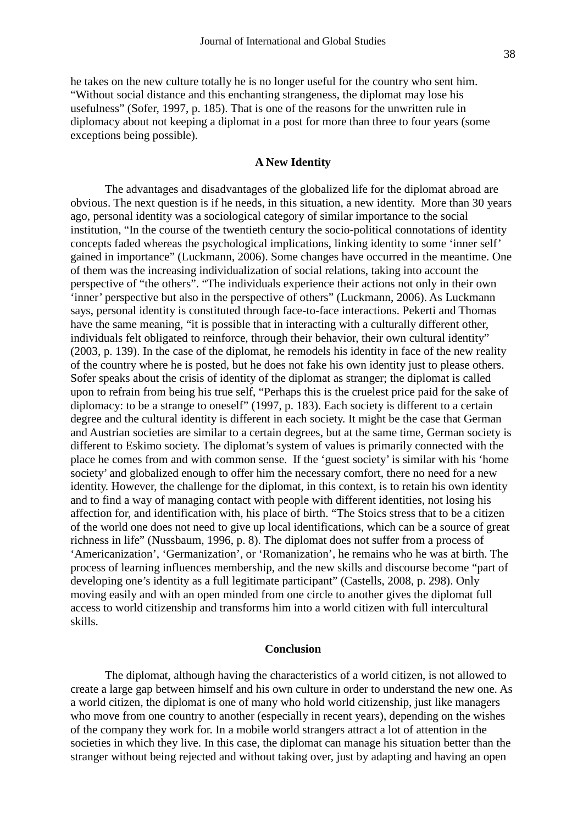he takes on the new culture totally he is no longer useful for the country who sent him. "Without social distance and this enchanting strangeness, the diplomat may lose his usefulness" (Sofer, 1997, p. 185). That is one of the reasons for the unwritten rule in diplomacy about not keeping a diplomat in a post for more than three to four years (some exceptions being possible).

## **A New Identity**

The advantages and disadvantages of the globalized life for the diplomat abroad are obvious. The next question is if he needs, in this situation, a new identity. More than 30 years ago, personal identity was a sociological category of similar importance to the social institution, "In the course of the twentieth century the socio-political connotations of identity concepts faded whereas the psychological implications, linking identity to some 'inner self' gained in importance" (Luckmann, 2006). Some changes have occurred in the meantime. One of them was the increasing individualization of social relations, taking into account the perspective of "the others". "The individuals experience their actions not only in their own 'inner' perspective but also in the perspective of others" (Luckmann, 2006). As Luckmann says, personal identity is constituted through face-to-face interactions. Pekerti and Thomas have the same meaning, "it is possible that in interacting with a culturally different other, individuals felt obligated to reinforce, through their behavior, their own cultural identity" (2003, p. 139). In the case of the diplomat, he remodels his identity in face of the new reality of the country where he is posted, but he does not fake his own identity just to please others. Sofer speaks about the crisis of identity of the diplomat as stranger; the diplomat is called upon to refrain from being his true self, "Perhaps this is the cruelest price paid for the sake of diplomacy: to be a strange to oneself" (1997, p. 183). Each society is different to a certain degree and the cultural identity is different in each society. It might be the case that German and Austrian societies are similar to a certain degrees, but at the same time, German society is different to Eskimo society. The diplomat's system of values is primarily connected with the place he comes from and with common sense. If the 'guest society' is similar with his 'home society' and globalized enough to offer him the necessary comfort, there no need for a new identity. However, the challenge for the diplomat, in this context, is to retain his own identity and to find a way of managing contact with people with different identities, not losing his affection for, and identification with, his place of birth. "The Stoics stress that to be a citizen of the world one does not need to give up local identifications, which can be a source of great richness in life" (Nussbaum, 1996, p. 8). The diplomat does not suffer from a process of 'Americanization', 'Germanization', or 'Romanization', he remains who he was at birth. The process of learning influences membership, and the new skills and discourse become "part of developing one's identity as a full legitimate participant" (Castells, 2008, p. 298). Only moving easily and with an open minded from one circle to another gives the diplomat full access to world citizenship and transforms him into a world citizen with full intercultural skills.

### **Conclusion**

The diplomat, although having the characteristics of a world citizen, is not allowed to create a large gap between himself and his own culture in order to understand the new one. As a world citizen, the diplomat is one of many who hold world citizenship, just like managers who move from one country to another (especially in recent years), depending on the wishes of the company they work for. In a mobile world strangers attract a lot of attention in the societies in which they live. In this case, the diplomat can manage his situation better than the stranger without being rejected and without taking over, just by adapting and having an open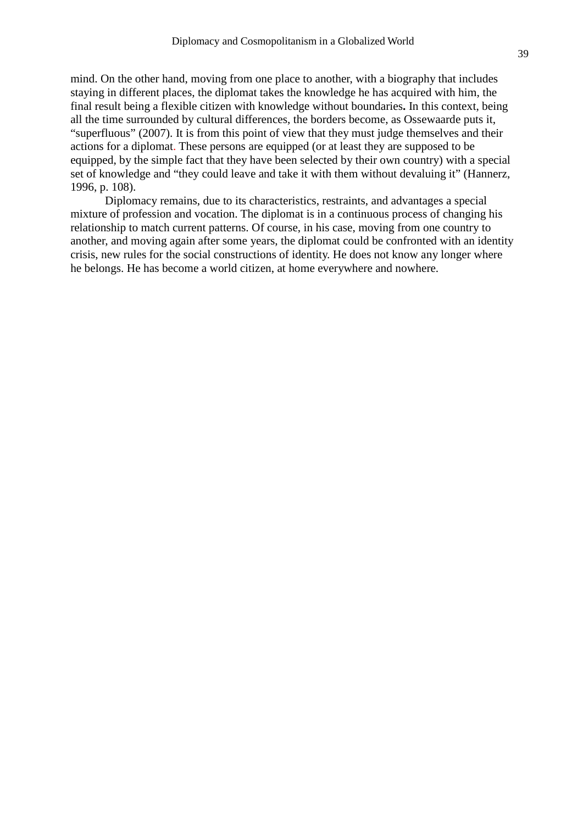mind. On the other hand, moving from one place to another, with a biography that includes staying in different places, the diplomat takes the knowledge he has acquired with him, the final result being a flexible citizen with knowledge without boundaries**.** In this context, being all the time surrounded by cultural differences, the borders become, as Ossewaarde puts it, "superfluous" (2007). It is from this point of view that they must judge themselves and their actions for a diplomat. These persons are equipped (or at least they are supposed to be equipped, by the simple fact that they have been selected by their own country) with a special set of knowledge and "they could leave and take it with them without devaluing it" (Hannerz, 1996, p. 108).

Diplomacy remains, due to its characteristics, restraints, and advantages a special mixture of profession and vocation. The diplomat is in a continuous process of changing his relationship to match current patterns. Of course, in his case, moving from one country to another, and moving again after some years, the diplomat could be confronted with an identity crisis, new rules for the social constructions of identity. He does not know any longer where he belongs. He has become a world citizen, at home everywhere and nowhere.